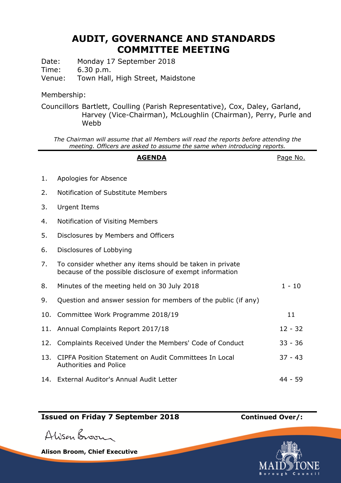# **AUDIT, GOVERNANCE AND STANDARDS COMMITTEE MEETING**

Date: Monday 17 September 2018

Time: 6.30 p.m.

Venue: Town Hall, High Street, Maidstone

### Membership:

Councillors Bartlett, Coulling (Parish Representative), Cox, Daley, Garland, Harvey (Vice-Chairman), McLoughlin (Chairman), Perry, Purle and Webb

*The Chairman will assume that all Members will read the reports before attending the meeting. Officers are asked to assume the same when introducing reports.*

#### AGENDA **AGENDA**Page No.

- 1. Apologies for Absence 2. Notification of Substitute Members 3. Urgent Items 4. Notification of Visiting Members 5. Disclosures by Members and Officers 6. Disclosures of Lobbying 7. To consider whether any items should be taken in private because of the possible disclosure of exempt information 8. Minutes of the meeting held on 30 July 2018 1 1 10 9. Question and answer session for members of the public (if any) 10. Committee Work Programme 2018/19 11 11. Annual Complaints Report 2017/18 12 - 32 12. Complaints Received Under the Members' Code of Conduct 33 - 36 13. CIPFA Position Statement on Audit Committees In Local Authorities and Police 37 - 43
- 14. External Auditor's Annual Audit Letter 44 59

# **Issued on Friday 7 September 2018 Continued Over/:**

Alisan Broom

**Alison Broom, Chief Executive**